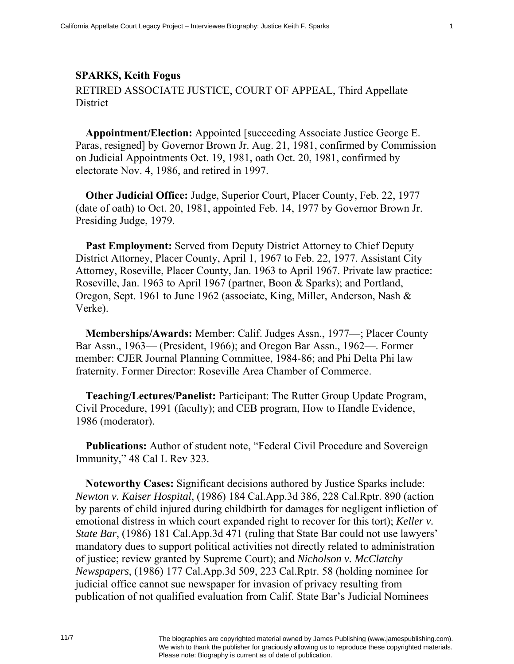## **SPARKS, Keith Fogus**

RETIRED ASSOCIATE JUSTICE, COURT OF APPEAL, Third Appellate **District** 

**Appointment/Election:** Appointed [succeeding Associate Justice George E. Paras, resigned] by Governor Brown Jr. Aug. 21, 1981, confirmed by Commission on Judicial Appointments Oct. 19, 1981, oath Oct. 20, 1981, confirmed by electorate Nov. 4, 1986, and retired in 1997.

**Other Judicial Office:** Judge, Superior Court, Placer County, Feb. 22, 1977 (date of oath) to Oct. 20, 1981, appointed Feb. 14, 1977 by Governor Brown Jr. Presiding Judge, 1979.

**Past Employment:** Served from Deputy District Attorney to Chief Deputy District Attorney, Placer County, April 1, 1967 to Feb. 22, 1977. Assistant City Attorney, Roseville, Placer County, Jan. 1963 to April 1967. Private law practice: Roseville, Jan. 1963 to April 1967 (partner, Boon & Sparks); and Portland, Oregon, Sept. 1961 to June 1962 (associate, King, Miller, Anderson, Nash & Verke).

**Memberships/Awards:** Member: Calif. Judges Assn., 1977—; Placer County Bar Assn., 1963— (President, 1966); and Oregon Bar Assn., 1962—. Former member: CJER Journal Planning Committee, 1984-86; and Phi Delta Phi law fraternity. Former Director: Roseville Area Chamber of Commerce.

**Teaching/Lectures/Panelist:** Participant: The Rutter Group Update Program, Civil Procedure, 1991 (faculty); and CEB program, How to Handle Evidence, 1986 (moderator).

**Publications:** Author of student note, "Federal Civil Procedure and Sovereign Immunity," 48 Cal L Rev 323.

**Noteworthy Cases:** Significant decisions authored by Justice Sparks include: *Newton v. Kaiser Hospital*, (1986) 184 Cal.App.3d 386, 228 Cal.Rptr. 890 (action by parents of child injured during childbirth for damages for negligent infliction of emotional distress in which court expanded right to recover for this tort); *Keller v. State Bar*, (1986) 181 Cal.App.3d 471 (ruling that State Bar could not use lawyers' mandatory dues to support political activities not directly related to administration of justice; review granted by Supreme Court); and *Nicholson v. McClatchy Newspapers*, (1986) 177 Cal.App.3d 509, 223 Cal.Rptr. 58 (holding nominee for judicial office cannot sue newspaper for invasion of privacy resulting from publication of not qualified evaluation from Calif. State Bar's Judicial Nominees